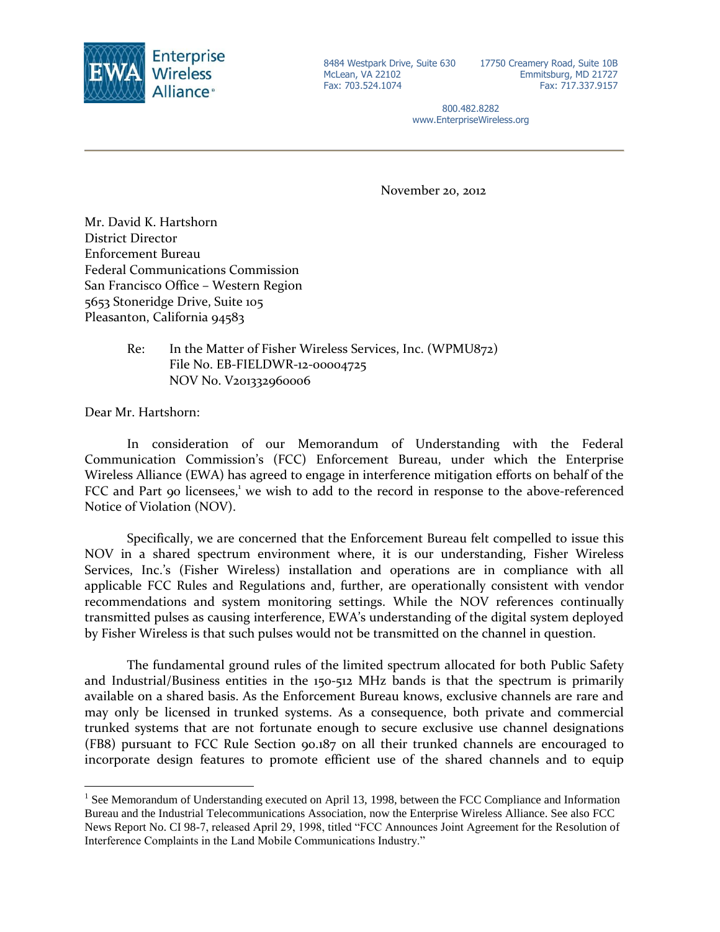

8484 Westpark Drive, Suite 630 McLean, VA 22102 Fax: 703.524.1074

17750 Creamery Road, Suite 10B Emmitsburg, MD 21727 Fax: 717.337.9157

800.482.8282 www.EnterpriseWireless.org

November 20, 2012

Mr. David K. Hartshorn District Director Enforcement Bureau Federal Communications Commission San Francisco Office – Western Region 5653 Stoneridge Drive, Suite 105 Pleasanton, California 94583

> Re: In the Matter of Fisher Wireless Services, Inc. (WPMU872) File No. EB-FIELDWR-12-00004725 NOV No. V201332960006

Dear Mr. Hartshorn:

 $\overline{a}$ 

In consideration of our Memorandum of Understanding with the Federal Communication Commission's (FCC) Enforcement Bureau, under which the Enterprise Wireless Alliance (EWA) has agreed to engage in interference mitigation efforts on behalf of the FCC and Part 90 licensees,<sup>1</sup> we wish to add to the record in response to the above-referenced Notice of Violation (NOV).

Specifically, we are concerned that the Enforcement Bureau felt compelled to issue this NOV in a shared spectrum environment where, it is our understanding, Fisher Wireless Services, Inc.'s (Fisher Wireless) installation and operations are in compliance with all applicable FCC Rules and Regulations and, further, are operationally consistent with vendor recommendations and system monitoring settings. While the NOV references continually transmitted pulses as causing interference, EWA's understanding of the digital system deployed by Fisher Wireless is that such pulses would not be transmitted on the channel in question.

The fundamental ground rules of the limited spectrum allocated for both Public Safety and Industrial/Business entities in the 150-512 MHz bands is that the spectrum is primarily available on a shared basis. As the Enforcement Bureau knows, exclusive channels are rare and may only be licensed in trunked systems. As a consequence, both private and commercial trunked systems that are not fortunate enough to secure exclusive use channel designations (FB8) pursuant to FCC Rule Section 90.187 on all their trunked channels are encouraged to incorporate design features to promote efficient use of the shared channels and to equip

<sup>&</sup>lt;sup>1</sup> See Memorandum of Understanding executed on April 13, 1998, between the FCC Compliance and Information Bureau and the Industrial Telecommunications Association, now the Enterprise Wireless Alliance. See also FCC News Report No. CI 98-7, released April 29, 1998, titled "FCC Announces Joint Agreement for the Resolution of Interference Complaints in the Land Mobile Communications Industry."